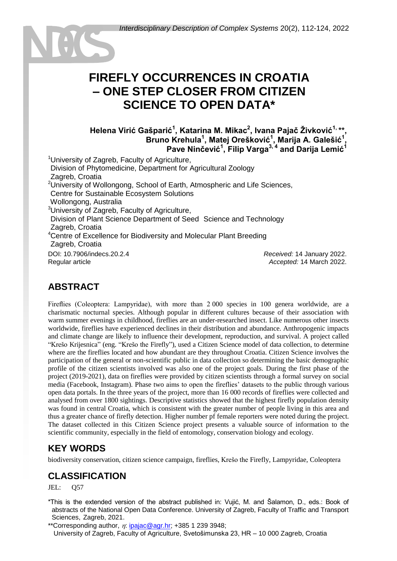# **FIREFLY OCCURRENCES IN CROATIA – ONE STEP CLOSER FROM CITIZEN SCIENCE TO OPEN DATA\***

#### **Helena Virić Gašparić<sup>1</sup> , Katarina M. Mikac<sup>2</sup> , Ivana Pajač Živković1, \*\*, Bruno Krehula<sup>1</sup> , Matej Orešković<sup>1</sup> , Marija A. Galešić<sup>1</sup> , Pave Ninčević<sup>1</sup> , Filip Varga3, <sup>4</sup> and Darija Lemić<sup>1</sup>**

<sup>1</sup> University of Zagreb, Faculty of Agriculture, <sup>1</sup>Division of Phytomedicine, Department for Agricultural Zoology Zagreb, Croatia <sup>2</sup>University of Wollongong, School of Earth, Atmospheric and Life Sciences, <sup>2</sup>Centre for Sustainable Ecosystem Solutions Wollongong, Australia <sup>3</sup>University of Zagreb, Faculty of Agriculture, Division of Plant Science Department of Seed Science and Technology Zagreb, Croatia <sup>4</sup>Centre of Excellence for Biodiversity and Molecular Plant Breeding Zagreb, Croatia DOI: 10.7906/indecs.20.2.4 Regular article *Received:* 14 January 2022. *Accepted:* 14 March 2022.

## **ABSTRACT**

Fireflies (Coleoptera: Lampyridae), with more than 2 000 species in 100 genera worldwide, are a charismatic nocturnal species. Although popular in different cultures because of their association with warm summer evenings in childhood, fireflies are an under-researched insect. Like numerous other insects worldwide, fireflies have experienced declines in their distribution and abundance. Anthropogenic impacts and climate change are likely to influence their development, reproduction, and survival. A project called "Krešo Krijesnica" (eng. "Krešo the Firefly"), used a Citizen Science model of data collection, to determine where are the fireflies located and how abundant are they throughout Croatia. Citizen Science involves the participation of the general or non-scientific public in data collection so determining the basic demographic profile of the citizen scientists involved was also one of the project goals. During the first phase of the project (2019-2021), data on fireflies were provided by citizen scientists through a formal survey on social media (Facebook, Instagram). Phase two aims to open the fireflies' datasets to the public through various open data portals. In the three years of the project, more than 16 000 records of fireflies were collected and analysed from over 1800 sightings. Descriptive statistics showed that the highest firefly population density was found in central Croatia, which is consistent with the greater number of people living in this area and thus a greater chance of firefly detection. Higher number pf female reporters were noted during the project. The dataset collected in this Citizen Science project presents a valuable source of information to the scientific community, especially in the field of entomology, conservation biology and ecology.

## **KEY WORDS**

biodiversity conservation, citizen science campaign, fireflies, Krešo the Firefly, Lampyridae, Coleoptera

## **CLASSIFICATION**

JEL: Q57

\*This is the extended version of the abstract published in: Vujić, M. and Šalamon, D., eds.: Book of abstracts of the National Open Data Conference. University of Zagreb, Faculty of Traffic and Transport Sciences, Zagreb, 2021.

\*\*Corresponding author,  $\eta$ : [ipajac@agr.hr;](mailto:ipajac@agr.hr) +385 1 239 3948; University of Zagreb, Faculty of Agriculture, Svetošimunska 23, HR – 10 000 Zagreb, Croatia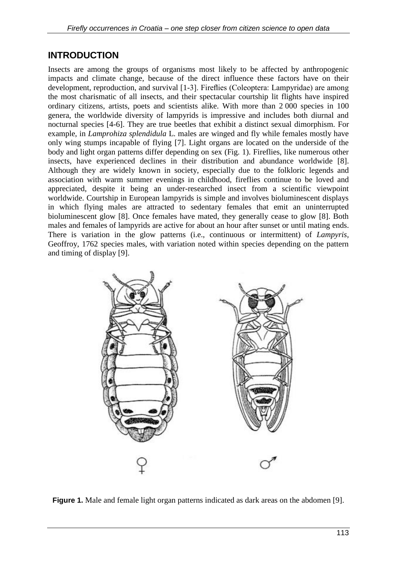## **INTRODUCTION**

Insects are among the groups of organisms most likely to be affected by anthropogenic impacts and climate change, because of the direct influence these factors have on their development, reproduction, and survival [1-3]. Fireflies (Coleoptera: Lampyridae) are among the most charismatic of all insects, and their spectacular courtship lit flights have inspired ordinary citizens, artists, poets and scientists alike. With more than 2 000 species in 100 genera, the worldwide diversity of lampyrids is impressive and includes both diurnal and nocturnal species [4-6]. They are true beetles that exhibit a distinct sexual dimorphism. For example, in *Lamprohiza splendidula* L. males are winged and fly while females mostly have only wing stumps incapable of flying [7]. Light organs are located on the underside of the body and light organ patterns differ depending on sex (Fig. 1). Fireflies, like numerous other insects, have experienced declines in their distribution and abundance worldwide [8]. Although they are widely known in society, especially due to the folkloric legends and association with warm summer evenings in childhood, fireflies continue to be loved and appreciated, despite it being an under-researched insect from a scientific viewpoint worldwide. Courtship in European lampyrids is simple and involves bioluminescent displays in which flying males are attracted to sedentary females that emit an uninterrupted bioluminescent glow [8]. Once females have mated, they generally cease to glow [8]. Both males and females of lampyrids are active for about an hour after sunset or until mating ends. There is variation in the glow patterns (i.e., continuous or intermittent) of *Lampyris,*  Geoffroy, 1762 species males, with variation noted within species depending on the pattern and timing of display [9].



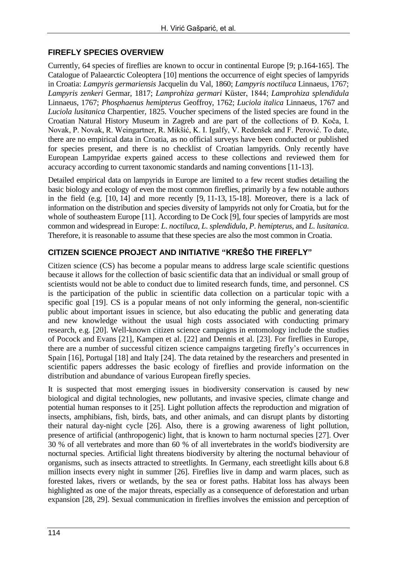### **FIREFLY SPECIES OVERVIEW**

Currently, 64 species of fireflies are known to occur in continental Europe [9; p.164-165]. The Catalogue of Palaearctic Coleoptera [10] mentions the occurrence of eight species of lampyrids in Croatia: *Lampyris germariensis* Jacquelin du Val, 1860; *Lampyris noctiluca* Linnaeus, 1767; *Lampyris zenkeri* Germar, 1817; *Lamprohiza germari* Küster, 1844; *Lamprohiza splendidula* Linnaeus, 1767; *Phosphaenus hemipterus* Geoffroy, 1762; *Luciola italica* Linnaeus, 1767 and *Luciola lusitanica* Charpentier, 1825. Voucher specimens of the listed species are found in the Croatian Natural History Museum in Zagreb and are part of the collections of Đ. Koča, I. Novak, P. Novak, R. Weingartner, R. Mikšić, K. I. Igalfy, V. Redenšek and F. Perović. To date, there are no empirical data in Croatia, as no official surveys have been conducted or published for species present, and there is no checklist of Croatian lampyrids. Only recently have European Lampyridae experts gained access to these collections and reviewed them for accuracy according to current taxonomic standards and naming conventions [11-13].

Detailed empirical data on lampyrids in Europe are limited to a few recent studies detailing the basic biology and ecology of even the most common fireflies, primarily by a few notable authors in the field (e.g. [10, 14] and more recently [9, 11-13, 15-18]. Moreover, there is a lack of information on the distribution and species diversity of lampyrids not only for Croatia, but for the whole of southeastern Europe [11]. According to De Cock [9], four species of lampyrids are most common and widespread in Europe: *L*. *noctiluca*, *L*. *splendidula*, *P*. *hemipterus*, and *L*. *lusitanica*. Therefore, it is reasonable to assume that these species are also the most common in Croatia.

### **CITIZEN SCIENCE PROJECT AND INITIATIVE "KREŠO THE FIREFLY"**

Citizen science (CS) has become a popular means to address large scale scientific questions because it allows for the collection of basic scientific data that an individual or small group of scientists would not be able to conduct due to limited research funds, time, and personnel. CS is the participation of the public in scientific data collection on a particular topic with a specific goal [19]. CS is a popular means of not only informing the general, non-scientific public about important issues in science, but also educating the public and generating data and new knowledge without the usual high costs associated with conducting primary research, e.g. [20]. Well-known citizen science campaigns in entomology include the studies of Pocock and Evans [21], Kampen et al. [22] and Dennis et al. [23]. For fireflies in Europe, there are a number of successful citizen science campaigns targeting firefly's occurrences in Spain [16], Portugal [18] and Italy [24]. The data retained by the researchers and presented in scientific papers addresses the basic ecology of fireflies and provide information on the distribution and abundance of various European firefly species.

It is suspected that most emerging issues in biodiversity conservation is caused by new biological and digital technologies, new pollutants, and invasive species, climate change and potential human responses to it [25]. Light pollution affects the reproduction and migration of insects, amphibians, fish, birds, bats, and other animals, and can disrupt plants by distorting their natural day-night cycle [26]. Also, there is a growing awareness of light pollution, presence of artificial (anthropogenic) light, that is known to harm nocturnal species [27]. Over 30 % of all vertebrates and more than 60 % of all invertebrates in the world's biodiversity are nocturnal species. Artificial light threatens biodiversity by altering the nocturnal behaviour of organisms, such as insects attracted to streetlights. In Germany, each streetlight kills about 6.8 million insects every night in summer [26]. Fireflies live in damp and warm places, such as forested lakes, rivers or wetlands, by the sea or forest paths. Habitat loss has always been highlighted as one of the major threats, especially as a consequence of deforestation and urban expansion [28, 29]. Sexual communication in fireflies involves the emission and perception of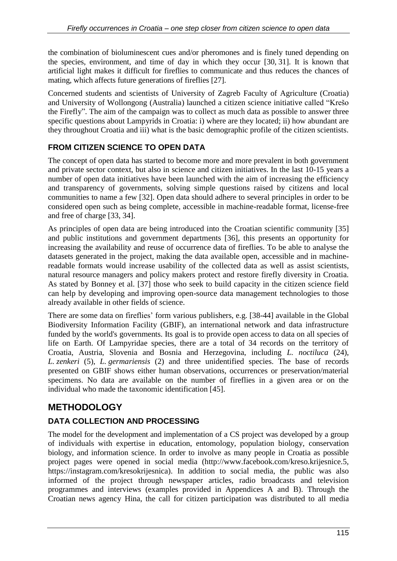the combination of bioluminescent cues and/or pheromones and is finely tuned depending on the species, environment, and time of day in which they occur [30, 31]. It is known that artificial light makes it difficult for fireflies to communicate and thus reduces the chances of mating, which affects future generations of fireflies [27].

Concerned students and scientists of University of Zagreb Faculty of Agriculture (Croatia) and University of Wollongong (Australia) launched a citizen science initiative called "Krešo the Firefly". The aim of the campaign was to collect as much data as possible to answer three specific questions about Lampyrids in Croatia: i) where are they located; ii) how abundant are they throughout Croatia and iii) what is the basic demographic profile of the citizen scientists.

### **FROM CITIZEN SCIENCE TO OPEN DATA**

The concept of open data has started to become more and more prevalent in both government and private sector context, but also in science and citizen initiatives. In the last 10-15 years a number of open data initiatives have been launched with the aim of increasing the efficiency and transparency of governments, solving simple questions raised by citizens and local communities to name a few [32]. Open data should adhere to several principles in order to be considered open such as being complete, accessible in machine-readable format, license-free and free of charge [33, 34].

As principles of open data are being introduced into the Croatian scientific community [35] and public institutions and government departments [36], this presents an opportunity for increasing the availability and reuse of occurrence data of fireflies. To be able to analyse the datasets generated in the project, making the data available open, accessible and in machinereadable formats would increase usability of the collected data as well as assist scientists, natural resource managers and policy makers protect and restore firefly diversity in Croatia. As stated by Bonney et al. [37] those who seek to build capacity in the citizen science field can help by developing and improving open-source data management technologies to those already available in other fields of science.

There are some data on fireflies' form various publishers, e.g. [38-44] available in the Global Biodiversity Information Facility (GBIF), an international network and data infrastructure funded by the world's governments. Its goal is to provide open access to data on all species of life on Earth. Of Lampyridae species, there are a total of 34 records on the territory of Croatia, Austria, Slovenia and Bosnia and Herzegovina, including *L. noctiluca* (24), *L. zenkeri* (5), *L. germariensis* (2) and three unidentified species. The base of records presented on GBIF shows either human observations, occurrences or preservation/material specimens. No data are available on the number of fireflies in a given area or on the individual who made the taxonomic identification [45].

## **METHODOLOGY**

### **DATA COLLECTION AND PROCESSING**

The model for the development and implementation of a CS project was developed by a group of individuals with expertise in education, entomology, population biology, conservation biology, and information science. In order to involve as many people in Croatia as possible project pages were opened in social media (http://www.facebook.com/kreso.krijesnice.5, https://instagram.com/kresokrijesnica). In addition to social media, the public was also informed of the project through newspaper articles, radio broadcasts and television programmes and interviews (examples provided in Appendices A and B). Through the Croatian news agency Hina, the call for citizen participation was distributed to all media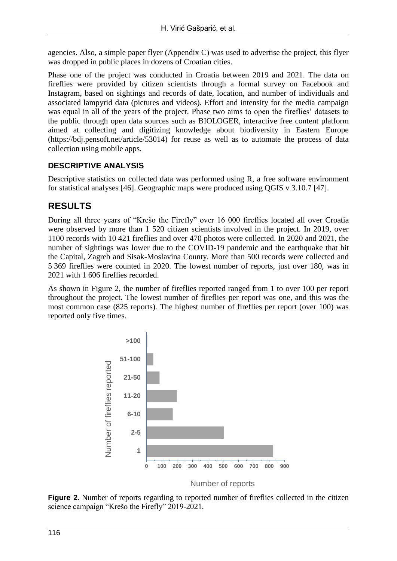agencies. Also, a simple paper flyer (Appendix C) was used to advertise the project, this flyer was dropped in public places in dozens of Croatian cities.

Phase one of the project was conducted in Croatia between 2019 and 2021. The data on fireflies were provided by citizen scientists through a formal survey on Facebook and Instagram, based on sightings and records of date, location, and number of individuals and associated lampyrid data (pictures and videos). Effort and intensity for the media campaign was equal in all of the years of the project. Phase two aims to open the fireflies' datasets to the public through open data sources such as BIOLOGER, interactive free content platform aimed at collecting and digitizing knowledge about biodiversity in Eastern Europe (https://bdj.pensoft.net/article/53014) for reuse as well as to automate the process of data collection using mobile apps.

### **DESCRIPTIVE ANALYSIS**

Descriptive statistics on collected data was performed using R, a free software environment for statistical analyses [46]. Geographic maps were produced using QGIS v 3.10.7 [47].

## **RESULTS**

During all three years of "Krešo the Firefly" over 16 000 fireflies located all over Croatia were observed by more than 1 520 citizen scientists involved in the project. In 2019, over 1100 records with 10 421 fireflies and over 470 photos were collected. In 2020 and 2021, the number of sightings was lower due to the COVID-19 pandemic and the earthquake that hit the Capital, Zagreb and Sisak-Moslavina County. More than 500 records were collected and 5 369 fireflies were counted in 2020. The lowest number of reports, just over 180, was in 2021 with 1 606 fireflies recorded.

As shown in Figure 2, the number of fireflies reported ranged from 1 to over 100 per report throughout the project. The lowest number of fireflies per report was one, and this was the most common case (825 reports). The highest number of fireflies per report (over 100) was reported only five times.



**Figure 2.** Number of reports regarding to reported number of fireflies collected in the citizen science campaign "Krešo the Firefly" 2019-2021.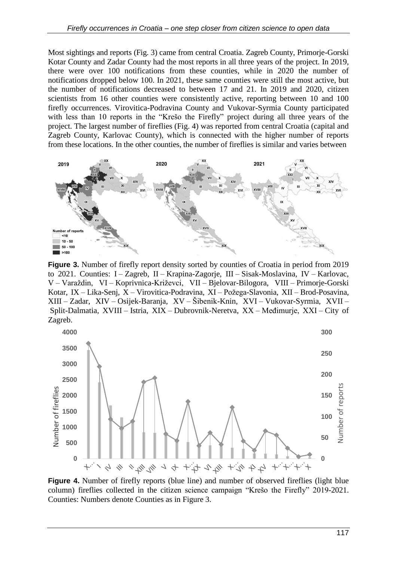Most sightings and reports (Fig. 3) came from central Croatia. Zagreb County, Primorje-Gorski Kotar County and Zadar County had the most reports in all three years of the project. In 2019, there were over 100 notifications from these counties, while in 2020 the number of notifications dropped below 100. In 2021, these same counties were still the most active, but the number of notifications decreased to between 17 and 21. In 2019 and 2020, citizen scientists from 16 other counties were consistently active, reporting between 10 and 100 firefly occurrences. Virovitica-Podravina County and Vukovar-Syrmia County participated with less than 10 reports in the "Krešo the Firefly" project during all three years of the project. The largest number of fireflies (Fig. 4) was reported from central Croatia (capital and Zagreb County, Karlovac County), which is connected with the higher number of reports from these locations. In the other counties, the number of fireflies is similar and varies between



Figure 3. Number of firefly report density sorted by counties of Croatia in period from 2019 to 2021. Counties: I – Zagreb, II – Krapina-Zagorje, III – Sisak-Moslavina, IV – Karlovac, V – Varaždin, VI – Koprivnica-Križevci, VII – Bjelovar-Bilogora, VIII – Primorje-Gorski Kotar, IX – Lika-Senj, X – Virovitica-Podravina, XI – Požega-Slavonia, XII – Brod-Posavina, XIII – Zadar, XIV – Osijek-Baranja, XV – Šibenik-Knin, XVI – Vukovar-Syrmia, XVII – Split-Dalmatia, XVIII – Istria, XIX – Dubrovnik-Neretva, XX – Međimurje, XXI – City of Zagreb.



**Figure 4.** Number of firefly reports (blue line) and number of observed fireflies (light blue column) fireflies collected in the citizen science campaign "Krešo the Firefly" 2019-2021. Counties: Numbers denote Counties as in Figure 3.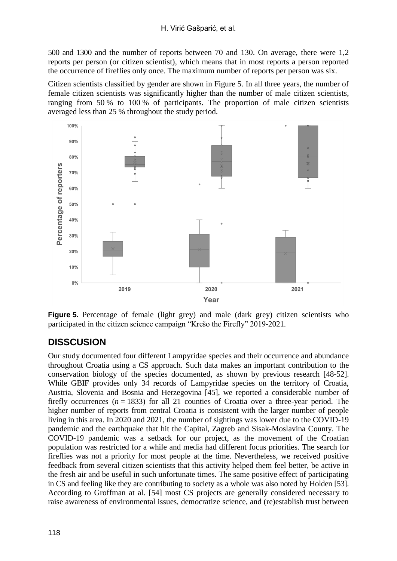500 and 1300 and the number of reports between 70 and 130. On average, there were 1,2 reports per person (or citizen scientist), which means that in most reports a person reported the occurrence of fireflies only once. The maximum number of reports per person was six.

Citizen scientists classified by gender are shown in Figure 5. In all three years, the number of female citizen scientists was significantly higher than the number of male citizen scientists, ranging from 50 % to 100 % of participants. The proportion of male citizen scientists averaged less than 25 % throughout the study period.



**Figure 5.** Percentage of female (light grey) and male (dark grey) citizen scientists who participated in the citizen science campaign "Krešo the Firefly" 2019-2021.

# **DISSCUSION**

Our study documented four different Lampyridae species and their occurrence and abundance throughout Croatia using a CS approach. Such data makes an important contribution to the conservation biology of the species documented, as shown by previous research [48-52]. While GBIF provides only 34 records of Lampyridae species on the territory of Croatia, Austria, Slovenia and Bosnia and Herzegovina [45], we reported a considerable number of firefly occurrences  $(n = 1833)$  for all 21 counties of Croatia over a three-year period. The higher number of reports from central Croatia is consistent with the larger number of people living in this area. In 2020 and 2021, the number of sightings was lower due to the COVID-19 pandemic and the earthquake that hit the Capital, Zagreb and Sisak-Moslavina County. The COVID-19 pandemic was a setback for our project, as the movement of the Croatian population was restricted for a while and media had different focus priorities. The search for fireflies was not a priority for most people at the time. Nevertheless, we received positive feedback from several citizen scientists that this activity helped them feel better, be active in the fresh air and be useful in such unfortunate times. The same positive effect of participating in CS and feeling like they are contributing to society as a whole was also noted by Holden [53]. According to Groffman at al. [54] most CS projects are generally considered necessary to raise awareness of environmental issues, democratize science, and (re)establish trust between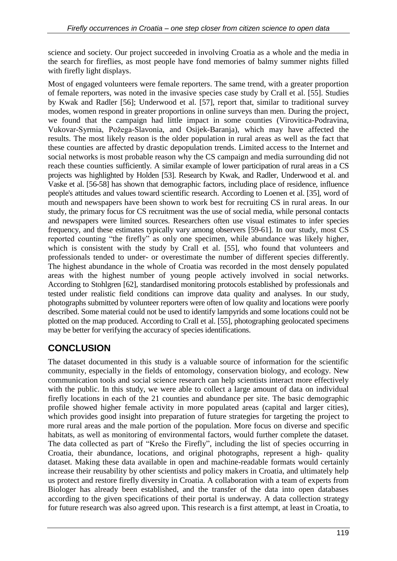science and society. Our project succeeded in involving Croatia as a whole and the media in the search for fireflies, as most people have fond memories of balmy summer nights filled with firefly light displays.

Most of engaged volunteers were female reporters. The same trend, with a greater proportion of female reporters, was noted in the invasive species case study by Crall et al. [55]. Studies by Kwak and Radler [56]; Underwood et al. [57], report that, similar to traditional survey modes, women respond in greater proportions in online surveys than men. During the project, we found that the campaign had little impact in some counties (Virovitica-Podravina, Vukovar-Syrmia, Požega-Slavonia, and Osijek-Baranja), which may have affected the results. The most likely reason is the older population in rural areas as well as the fact that these counties are affected by drastic depopulation trends. Limited access to the Internet and social networks is most probable reason why the CS campaign and media surrounding did not reach these counties sufficiently. A similar example of lower participation of rural areas in a CS projects was highlighted by Holden [53]. Research by Kwak, and Radler, Underwood et al. and Vaske et al. [56-58] has shown that demographic factors, including place of residence, influence people's attitudes and values toward scientific research. According to Loenen et al. [35], word of mouth and newspapers have been shown to work best for recruiting CS in rural areas. In our study, the primary focus for CS recruitment was the use of social media, while personal contacts and newspapers were limited sources. Researchers often use visual estimates to infer species frequency, and these estimates typically vary among observers [59-61]. In our study, most CS reported counting "the firefly" as only one specimen, while abundance was likely higher, which is consistent with the study by Crall et al. [55], who found that volunteers and professionals tended to under- or overestimate the number of different species differently. The highest abundance in the whole of Croatia was recorded in the most densely populated areas with the highest number of young people actively involved in social networks. According to Stohlgren [62], standardised monitoring protocols established by professionals and tested under realistic field conditions can improve data quality and analyses. In our study, photographs submitted by volunteer reporters were often of low quality and locations were poorly described. Some material could not be used to identify lampyrids and some locations could not be plotted on the map produced. According to Crall et al. [55], photographing geolocated specimens may be better for verifying the accuracy of species identifications.

# **CONCLUSION**

The dataset documented in this study is a valuable source of information for the scientific community, especially in the fields of entomology, conservation biology, and ecology. New communication tools and social science research can help scientists interact more effectively with the public. In this study, we were able to collect a large amount of data on individual firefly locations in each of the 21 counties and abundance per site. The basic demographic profile showed higher female activity in more populated areas (capital and larger cities), which provides good insight into preparation of future strategies for targeting the project to more rural areas and the male portion of the population. More focus on diverse and specific habitats, as well as monitoring of environmental factors, would further complete the dataset. The data collected as part of "Krešo the Firefly", including the list of species occurring in Croatia, their abundance, locations, and original photographs, represent a high- quality dataset. Making these data available in open and machine-readable formats would certainly increase their reusability by other scientists and policy makers in Croatia, and ultimately help us protect and restore firefly diversity in Croatia. A collaboration with a team of experts from Biologer has already been established, and the transfer of the data into open databases according to the given specifications of their portal is underway. A data collection strategy for future research was also agreed upon. This research is a first attempt, at least in Croatia, to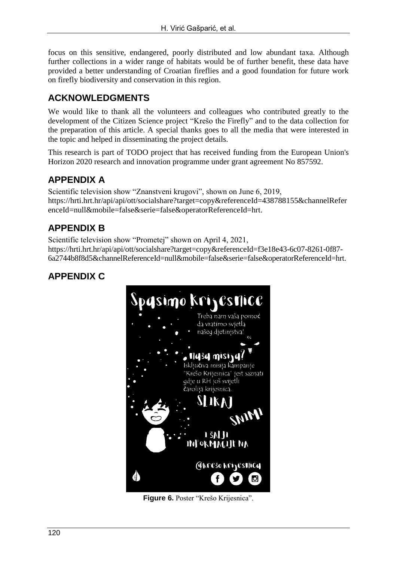focus on this sensitive, endangered, poorly distributed and low abundant taxa. Although further collections in a wider range of habitats would be of further benefit, these data have provided a better understanding of Croatian fireflies and a good foundation for future work on firefly biodiversity and conservation in this region.

## **ACKNOWLEDGMENTS**

We would like to thank all the volunteers and colleagues who contributed greatly to the development of the Citizen Science project "Krešo the Firefly" and to the data collection for the preparation of this article. A special thanks goes to all the media that were interested in the topic and helped in disseminating the project details.

This research is part of TODO project that has received funding from the European Union's Horizon 2020 research and innovation programme under grant agreement No 857592.

## **APPENDIX A**

Scientific television show "Znanstveni krugovi", shown on June 6, 2019, https://hrti.hrt.hr/api/api/ott/socialshare?target=copy&referenceId=438788155&channelRefer enceId=null&mobile=false&serie=false&operatorReferenceId=hrt.

# **APPENDIX B**

Scientific television show "Prometej" shown on April 4, 2021, https://hrti.hrt.hr/api/api/ott/socialshare?target=copy&referenceId=f3e18e43-6c07-8261-0f87- 6a2744b8f8d5&channelReferenceId=null&mobile=false&serie=false&operatorReferenceId=hrt.

# **APPENDIX C**



**Figure 6.** Poster "Krešo Krijesnica".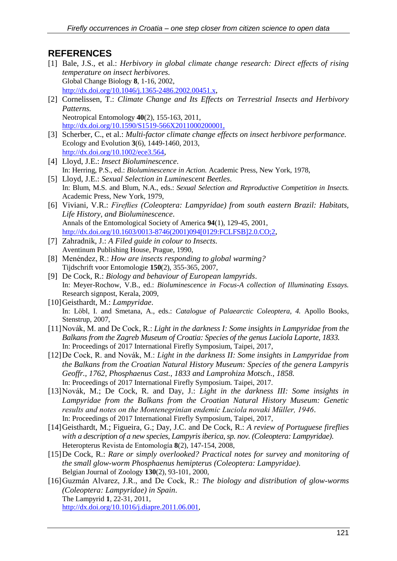## **REFERENCES**

- [1] Bale, J.S., et al.: *Herbivory in global climate change research: Direct effects of rising temperature on insect herbivores.* Global Change Biology **8**, 1-16, 2002, <http://dx.doi.org/10.1046/j.1365-2486.2002.00451.x>,
- [2] Cornelissen, T.: *Climate Change and Its Effects on Terrestrial Insects and Herbivory Patterns.* Neotropical Entomology **40**(2), 155-163, 2011, [http://dx.doi.org/10.1590/S1519-566X2011000200001,](http://dx.doi.org/10.1590/S1519-566X2011000200001)
- [3] Scherber, C., et al.: *Multi-factor climate change effects on insect herbivore performance.* Ecology and Evolution **3**(6), 1449-1460, 2013, <http://dx.doi.org/10.1002/ece3.564>,
- [4] Lloyd, J.E.: *Insect Bioluminescence*. In: Herring, P.S., ed.: *Bioluminescence in Action.* Academic Press, New York, 1978,
- [5] Lloyd, J.E.: *Sexual Selection in Luminescent Beetles*. In: Blum, M.S. and Blum, N.A., eds.: *Sexual Selection and Reproductive Competition in Insects.* Academic Press, New York, 1979,
- [6] Viviani, V.R.: *Fireflies (Coleoptera: Lampyridae) from south eastern Brazil: Habitats, Life History, and Bioluminescence*. Annals of the Entomological Society of America **94**(1), 129-45, 2001, [http://dx.doi.org/10.1603/0013-8746\(2001\)094\[0129:FCLFSB\]2.0.CO;2](http://dx.doi.org/10.1603/0013-8746(2001)094%5b0129:FCLFSB%5d2.0.CO;2),
- [7] Zahradnik, J.: *A Filed guide in colour to Insects.* Aventinum Publishing House, Prague, 1990,
- [8] Menéndez, R.: *How are insects responding to global warming?* Tijdschrift voor Entomologie **150**(2), 355-365, 2007,
- [9] De Cock, R.: *Biology and behaviour of European lampyrids*. In: Meyer-Rochow, V.B., ed.: *Bioluminescence in Focus-A collection of Illuminating Essays.* Research signpost, Kerala, 2009,
- [10]Geisthardt, M.: *Lampyridae*. In: Löbl, I. and Smetana, A., eds.: *Catalogue of Palaearctic Coleoptera, 4.* Apollo Books, Stenstrup, 2007,
- [11]Novák, M. and De Cock, R.: *Light in the darkness I: Some insights in Lampyridae from the Balkans from the Zagreb Museum of Croatia: Species of the genus Luciola Laporte, 1833.* In: Proceedings of 2017 International Firefly Symposium, Taipei, 2017,
- [12]De Cock, R. and Novák, M.: *Light in the darkness II: Some insights in Lampyridae from the Balkans from the Croatian Natural History Museum: Species of the genera Lampyris Geoffr., 1762, Phosphaenus Cast., 1833 and Lamprohiza Motsch., 1858.* In: Proceedings of 2017 International Firefly Symposium. Taipei, 2017.
- [13]Novák, M.; De Cock, R. and Day, J.: *Light in the darkness III: Some insights in Lampyridae from the Balkans from the Croatian Natural History Museum: Genetic results and notes on the Montenegrinian endemic Luciola novaki Müller, 1946*. In: Proceedings of 2017 International Firefly Symposium, Taipei, 2017,
- [14]Geisthardt, M.; Figueira, G.; Day, J.C. and De Cock, R.: *A review of Portuguese fireflies with a description of a new species, Lampyris iberica, sp. nov. (Coleoptera: Lampyridae)*. Heteropterus Revista de Entomología **8**(2), 147-154, 2008,
- [15]De Cock, R.: *Rare or simply overlooked? Practical notes for survey and monitoring of the small glow-worm Phosphaenus hemipterus (Coleoptera: Lampyridae)*. Belgian Journal of Zoology **130**(2), 93-101, 2000,
- [16]Guzmán Alvarez, J.R., and De Cock, R.: *The biology and distribution of glow-worms (Coleoptera: Lampyridae) in Spain*. The Lampyrid **1**, 22-31, 2011, [http://dx.doi.org/10.1016/j.diapre.2011.06.001,](http://dx.doi.org/10.1016/j.diapre.2011.06.001)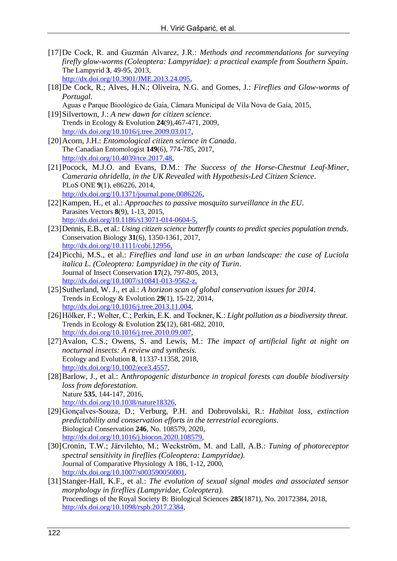- [17]De Cock, R. and Guzmán Alvarez, J.R.: *Methods and recommendations for surveying firefly glow-worms (Coleoptera: Lampyridae): a practical example from Southern Spain*. The Lampyrid **3**, 49-95, 2013, [http://dx.doi.org/10.3901/JME.2013.24.095,](http://dx.doi.org/10.3901/JME.2013.24.095)
- [18]De Cock, R.; Alves, H.N.; Oliveira, N.G. and Gomes, J.: *Fireflies and Glow-worms of Portugal*.

Aguas e Parque Bioológico de Gaia, Câmara Municipal de Vila Nova de Gaia, 2015,

[19]Silvertown, J.: *A new dawn for citizen science*. Trends in Ecology & Evolution **24**(9),467-471, 2009, <http://dx.doi.org/10.1016/j.tree.2009.03.017>,

- [20]Acorn, J.H.: *Entomological citizen science in Canada*. The Canadian Entomologist **149**(6), 774-785, 2017, <http://dx.doi.org/10.4039/tce.2017.48>,
- [21]Pocock, M.J.O. and Evans, D.M.: *The Success of the Horse-Chestnut Leaf-Miner, Cameraria ohridella, in the UK Revealed with Hypothesis-Led Citizen Science*. PLoS ONE **9**(1), e86226, 2014, <http://dx.doi.org/10.1371/journal.pone.0086226>,
- [22]Kampen, H., et al.: *Approaches to passive mosquito surveillance in the EU*. Parasites Vectors **8**(9), 1-13, 2015, [http://dx.doi.org/10.1186/s13071-014-0604-5,](http://dx.doi.org/10.1186/s13071-014-0604-5)
- [23]Dennis, E.B., et al.: *Using citizen science butterfly counts to predict species population trends*. Conservation Biology **31**(6), 1350-1361, 2017, [http://dx.doi.org/10.1111/cobi.12956,](http://dx.doi.org/10.1111/cobi.12956)
- [24]Picchi, M.S., et al.: *Fireflies and land use in an urban landscape: the case of Luciola italica L. (Coleoptera: Lampyridae) in the city of Turin*. Journal of Insect Conservation **17**(2), 797-805, 2013, [http://dx.doi.org/10.1007/s10841-013-9562-z,](http://dx.doi.org/10.1007/s10841-013-9562-z)
- [25]Sutherland, W. J., et al.: *A horizon scan of global conservation issues for 2014*. Trends in Ecology & Evolution **29**(1), 15-22, 2014, [http://dx.doi.org/10.1016/j.tree.2013.11.004,](http://dx.doi.org/10.1016/j.tree.2013.11.004)
- [26]Hölker, F.; Wolter, C.; Perkin, E.K. and Tockner, K.: *Light pollution as a biodiversity threat*. Trends in Ecology & Evolution **25**(12), 681-682, 2010, [http://dx.doi.org/10.1016/j.tree.2010.09.007,](http://dx.doi.org/10.1016/j.tree.2010.09.007)
- [27]Avalon, C.S.; Owens, S. and Lewis, M.: *The impact of artificial light at night on nocturnal insects: A review and synthesis.* Ecology and Evolution **8**, 11337-11358, 2018, [http://dx.doi.org/10.1002/ece3.4557,](http://dx.doi.org/10.1002/ece3.4557)
- [28]Barlow, J., et al.: A*nthropogenic disturbance in tropical forests can double biodiversity loss from deforestation*. Nature **535**, 144-147, 2016, [http://dx.doi.org/10.1038/nature18326,](http://dx.doi.org/10.1038/nature18326)
- [29]Gonçalves-Souza, D.; Verburg, P.H. and Dobrovolski, R.: *Habitat loss, extinction predictability and conservation efforts in the terrestrial ecoregions*. Biological Conservation **246**, No. 108579, 2020, [http://dx.doi.org/10.1016/j.biocon.2020.108579,](http://dx.doi.org/10.1016/j.biocon.2020.108579)
- [30]Cronin, T.W.; Järvilehto, M.; Weckström, M. and Lall, A.B.: *Tuning of photoreceptor spectral sensitivity in fireflies (Coleoptera: Lampyridae).* Journal of Comparative Physiology A 186, 1-12, 2000, [http://dx.doi.org/10.1007/s003590050001,](http://dx.doi.org/10.1007/s003590050001)
- [31]Stanger-Hall, K.F., et al.: *The evolution of sexual signal modes and associated sensor morphology in fireflies (Lampyridae, Coleoptera).* Proceedings of the Royal Society B: Biological Sciences **285**(1871), No. 20172384, 2018, [http://dx.doi.org/10.1098/rspb.2017.2384,](http://dx.doi.org/10.1098/rspb.2017.2384)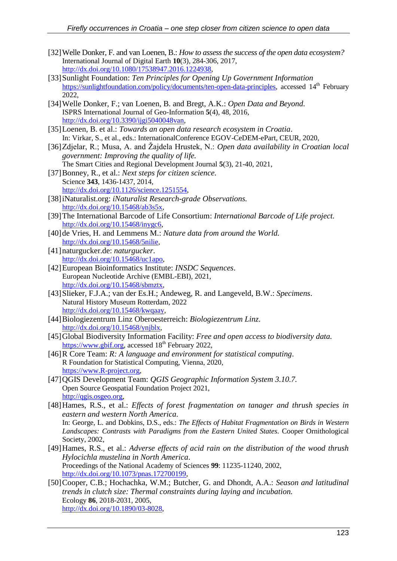- [32]Welle Donker, F. and van Loenen, B.: *How to assess the success of the open data ecosystem?* International Journal of Digital Earth **10**(3), 284-306, 2017, [http://dx.doi.org/10.1080/17538947.2016.1224938,](http://dx.doi.org/10.1080/17538947.2016.1224938)
- [33]Sunlight Foundation: *Ten Principles for Opening Up Government Information* [https://sunlightfoundation.com/policy/documents/ten-open-data-principles,](https://sunlightfoundation.com/policy/documents/ten-open-data-principles) accessed 14<sup>th</sup> February 2022,
- [34]Welle Donker, F.; van Loenen, B. and Bregt, A.K.: *Open Data and Beyond.* ISPRS International Journal of Geo-Information **5**(4), 48, 2016, [http://dx.doi.org/10.3390/ijgi5040048van,](http://dx.doi.org/10.3390/ijgi5040048van)
- [35]Loenen, B. et al.: *Towards an open data research ecosystem in Croatia*. In: Virkar, S., et al., eds.: InternationalConference EGOV-CeDEM-ePart, CEUR, 2020,
- [36]Zdjelar, R.; Musa, A. and Žajdela Hrustek, N.: *Open data availability in Croatian local government: Improving the quality of life.* The Smart Cities and Regional Development Journal **5**(3), 21-40, 2021,
- [37]Bonney, R., et al.: *Next steps for citizen science*. Science **343**, 1436-1437, 2014, [http://dx.doi.org/10.1126/science.1251554,](http://dx.doi.org/10.1126/science.1251554)
- [38]iNaturalist.org: *iNaturalist Research-grade Observations.* [http://dx.doi.org/10.15468/ab3s5x,](http://dx.doi.org/10.15468/ab3s5x)
- [39]The International Barcode of Life Consortium: *International Barcode of Life project.* [http://dx.doi.org/10.15468/inygc6,](http://dx.doi.org/10.15468/inygc6)
- [40]de Vries, H. and Lemmens M.: *Nature data from around the World.* [http://dx.doi.org/10.15468/5nilie,](http://dx.doi.org/10.15468/5nilie)
- [41]naturgucker.de: *naturgucker*. [http://dx.doi.org/10.15468/uc1apo,](http://dx.doi.org/10.15468/uc1apo)
- [42]European Bioinformatics Institute: *INSDC Sequences*. European Nucleotide Archive (EMBL-EBI), 2021, [http://dx.doi.org/10.15468/sbmztx,](http://dx.doi.org/10.15468/sbmztx)
- [43]Slieker, F.J.A.; van der Es.H.; Andeweg, R. and Langeveld, B.W.: *Specimens*. Natural History Museum Rotterdam, 2022 [http://dx.doi.org/10.15468/kwqaay,](http://dx.doi.org/10.15468/kwqaay)
- [44]Biologiezentrum Linz Oberoesterreich: *Biologiezentrum Linz*. [http://dx.doi.org/10.15468/ynjblx,](http://dx.doi.org/10.15468/ynjblx)
- [45]Global Biodiversity Information Facility: *Free and open access to biodiversity data*. [https://www.gbif.org,](https://www.gbif.org/) accessed 18<sup>th</sup> February 2022,
- [46]R Core Team: *R: A language and environment for statistical computing*. R Foundation for Statistical Computing, Vienna, 2020, [https://www.R-project.org,](https://www.r-project.org/)
- [47]QGIS Development Team: *QGIS Geographic Information System 3.10.7.* Open Source Geospatial Foundation Project 2021, [http://qgis.osgeo.org,](http://qgis.osgeo.org/)
- [48]Hames, R.S., et al.: *Effects of forest fragmentation on tanager and thrush species in eastern and western North America*. In: George, L. and Dobkins, D.S., eds.: *The Effects of Habitat Fragmentation on Birds in Western Landscapes: Contrasts with Paradigms from the Eastern United States.* Cooper Ornithological Society, 2002,
- [49]Hames, R.S., et al.: *Adverse effects of acid rain on the distribution of the wood thrush Hylocichla mustelina in North America*. Proceedings of the National Academy of Sciences **99**: 11235-11240, 2002, [http://dx.doi.org/10.1073/pnas.172700199,](http://dx.doi.org/10.1073/pnas.172700199)
- [50]Cooper, C.B.; Hochachka, W.M.; Butcher, G. and Dhondt, A.A.: *Season and latitudinal trends in clutch size: Thermal constraints during laying and incubation.* Ecology **86**, 2018-2031, 2005, [http://dx.doi.org/10.1890/03-8028,](http://dx.doi.org/10.1890/03-8028)